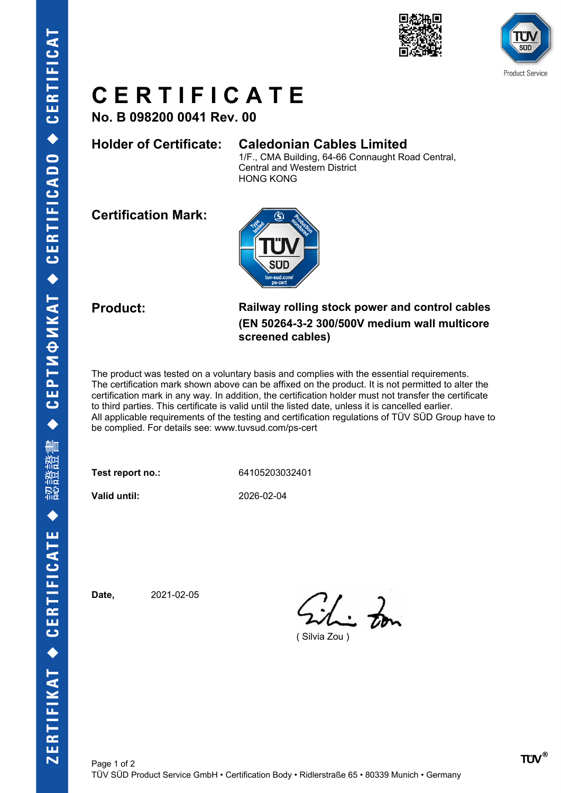



## **C E R T I F I C A T E**

**No. B 098200 0041 Rev. 00**

### **Holder of Certificate: Caledonian Cables Limited**

1/F., CMA Building, 64-66 Connaught Road Central, Central and Western District HONG KONG

**Certification Mark:**



**Product: Railway rolling stock power and control cables (EN 50264-3-2 300/500V medium wall multicore screened cables)**

The product was tested on a voluntary basis and complies with the essential requirements. The certification mark shown above can be affixed on the product. It is not permitted to alter the certification mark in any way. In addition, the certification holder must not transfer the certificate to third parties. This certificate is valid until the listed date, unless it is cancelled earlier. All applicable requirements of the testing and certification regulations of TÜV SÜD Group have to be complied. For details see: www.tuvsud.com/ps-cert

**Test report no.:** 64105203032401

**Valid until:** 2026-02-04

**Date,** 2021-02-05

This Zon

( Silvia Zou )